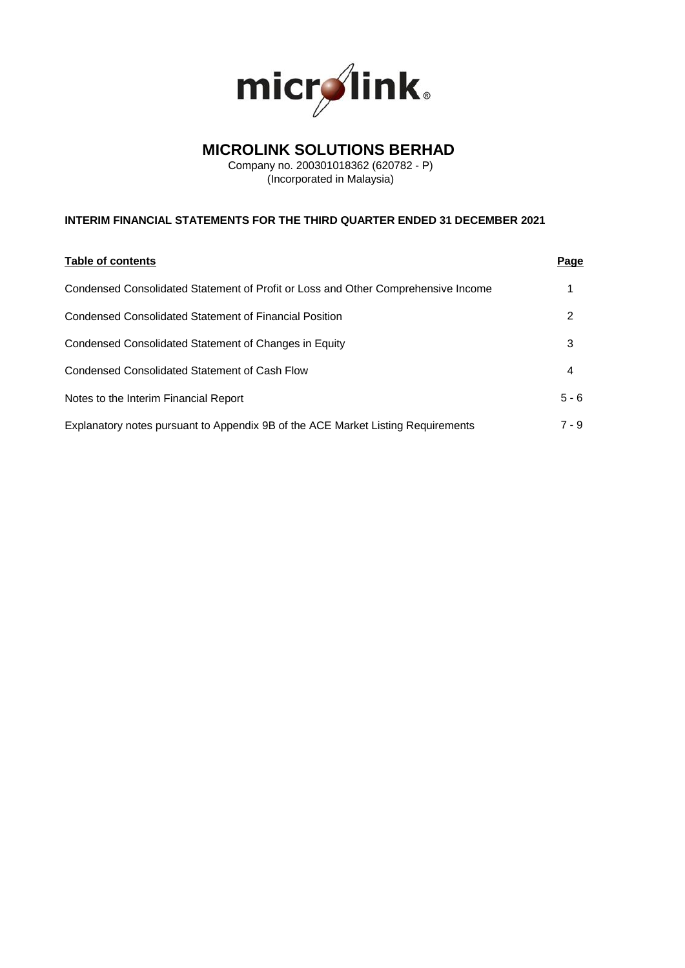

# **MICROLINK SOLUTIONS BERHAD**

Company no. 200301018362 (620782 - P) (Incorporated in Malaysia)

## **INTERIM FINANCIAL STATEMENTS FOR THE THIRD QUARTER ENDED 31 DECEMBER 2021**

| Table of contents                                                                 | <u>Page</u> |
|-----------------------------------------------------------------------------------|-------------|
| Condensed Consolidated Statement of Profit or Loss and Other Comprehensive Income |             |
| <b>Condensed Consolidated Statement of Financial Position</b>                     | 2           |
| Condensed Consolidated Statement of Changes in Equity                             | 3           |
| Condensed Consolidated Statement of Cash Flow                                     | 4           |
| Notes to the Interim Financial Report                                             | $5 - 6$     |
| Explanatory notes pursuant to Appendix 9B of the ACE Market Listing Requirements  | $7 - 9$     |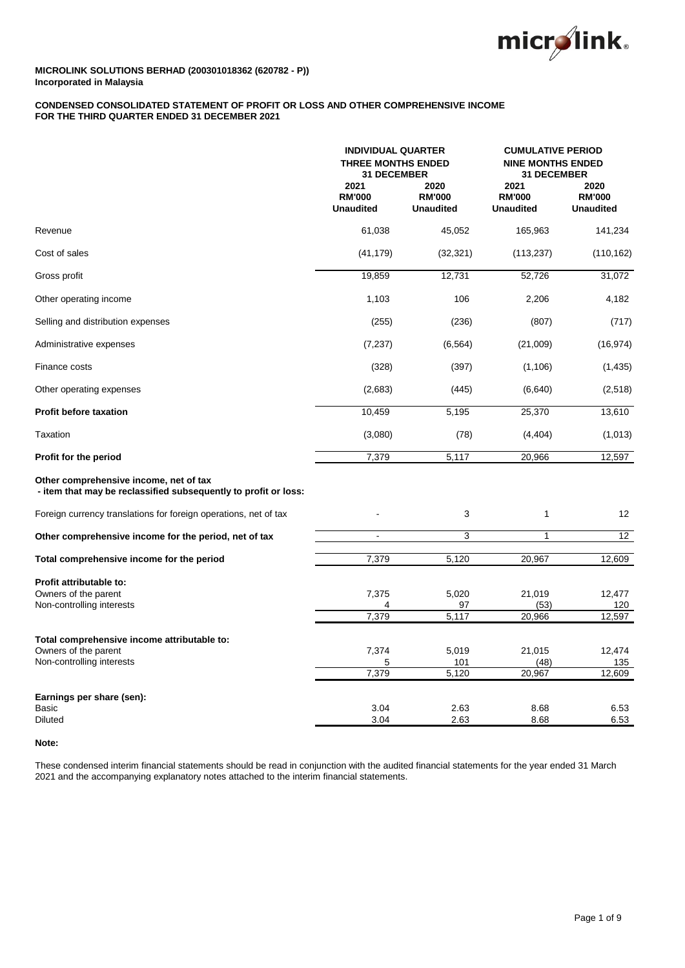

## **CONDENSED CONSOLIDATED STATEMENT OF PROFIT OR LOSS AND OTHER COMPREHENSIVE INCOME FOR THE THIRD QUARTER ENDED 31 DECEMBER 2021**

|                                                                                                           | <b>INDIVIDUAL QUARTER</b><br><b>THREE MONTHS ENDED</b><br><b>31 DECEMBER</b> |                                           | <b>CUMULATIVE PERIOD</b><br><b>NINE MONTHS ENDED</b><br><b>31 DECEMBER</b> |                                           |  |
|-----------------------------------------------------------------------------------------------------------|------------------------------------------------------------------------------|-------------------------------------------|----------------------------------------------------------------------------|-------------------------------------------|--|
|                                                                                                           | 2021<br><b>RM'000</b><br><b>Unaudited</b>                                    | 2020<br><b>RM'000</b><br><b>Unaudited</b> | 2021<br><b>RM'000</b><br><b>Unaudited</b>                                  | 2020<br><b>RM'000</b><br><b>Unaudited</b> |  |
| Revenue                                                                                                   | 61,038                                                                       | 45,052                                    | 165,963                                                                    | 141,234                                   |  |
| Cost of sales                                                                                             | (41, 179)                                                                    | (32, 321)                                 | (113, 237)                                                                 | (110, 162)                                |  |
| Gross profit                                                                                              | 19,859                                                                       | 12,731                                    | 52,726                                                                     | 31,072                                    |  |
| Other operating income                                                                                    | 1,103                                                                        | 106                                       | 2,206                                                                      | 4,182                                     |  |
| Selling and distribution expenses                                                                         | (255)                                                                        | (236)                                     | (807)                                                                      | (717)                                     |  |
| Administrative expenses                                                                                   | (7, 237)                                                                     | (6, 564)                                  | (21,009)                                                                   | (16, 974)                                 |  |
| Finance costs                                                                                             | (328)                                                                        | (397)                                     | (1, 106)                                                                   | (1, 435)                                  |  |
| Other operating expenses                                                                                  | (2,683)                                                                      | (445)                                     | (6,640)                                                                    | (2,518)                                   |  |
| <b>Profit before taxation</b>                                                                             | 10,459                                                                       | 5,195                                     | 25,370                                                                     | 13,610                                    |  |
| <b>Taxation</b>                                                                                           | (3,080)                                                                      | (78)                                      | (4, 404)                                                                   | (1,013)                                   |  |
| Profit for the period                                                                                     | 7,379                                                                        | 5,117                                     | 20,966                                                                     | 12,597                                    |  |
| Other comprehensive income, net of tax<br>- item that may be reclassified subsequently to profit or loss: |                                                                              |                                           |                                                                            |                                           |  |
| Foreign currency translations for foreign operations, net of tax                                          |                                                                              | 3                                         | $\mathbf{1}$                                                               | 12                                        |  |
| Other comprehensive income for the period, net of tax                                                     | ÷,                                                                           | 3                                         | $\mathbf{1}$                                                               | 12                                        |  |
| Total comprehensive income for the period                                                                 | 7,379                                                                        | 5,120                                     | 20,967                                                                     | 12,609                                    |  |
| Profit attributable to:<br>Owners of the parent<br>Non-controlling interests                              | 7,375<br>7,379                                                               | 5,020<br>97<br>5,117                      | 21,019<br>(53)<br>20,966                                                   | 12,477<br>120<br>12,597                   |  |
| Total comprehensive income attributable to:<br>Owners of the parent<br>Non-controlling interests          | 7,374<br>5<br>7,379                                                          | 5,019<br>101<br>5,120                     | 21,015<br>(48)<br>20,967                                                   | 12,474<br>135<br>12,609                   |  |
| Earnings per share (sen):<br>Basic<br><b>Diluted</b>                                                      | 3.04<br>3.04                                                                 | 2.63<br>2.63                              | 8.68<br>8.68                                                               | 6.53<br>6.53                              |  |

## **Note:**

These condensed interim financial statements should be read in conjunction with the audited financial statements for the year ended 31 March 2021 and the accompanying explanatory notes attached to the interim financial statements.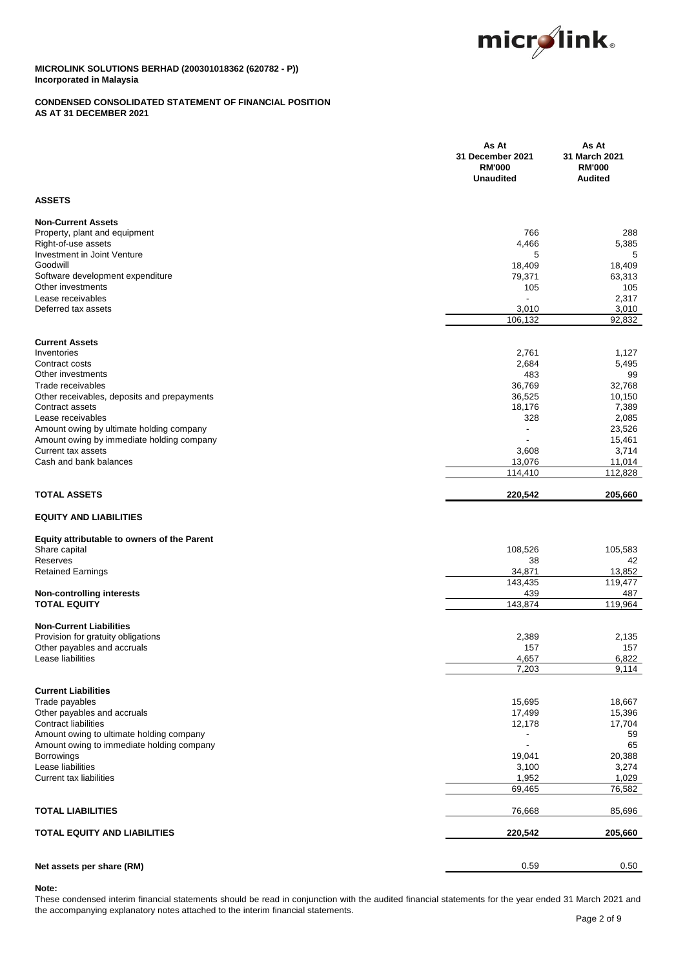

## **CONDENSED CONSOLIDATED STATEMENT OF FINANCIAL POSITION AS AT 31 DECEMBER 2021**

|                                                                                       | As At<br>31 December 2021<br><b>RM'000</b><br><b>Unaudited</b> | As At<br>31 March 2021<br><b>RM'000</b><br><b>Audited</b> |
|---------------------------------------------------------------------------------------|----------------------------------------------------------------|-----------------------------------------------------------|
| <b>ASSETS</b>                                                                         |                                                                |                                                           |
| <b>Non-Current Assets</b>                                                             |                                                                |                                                           |
| Property, plant and equipment                                                         | 766                                                            | 288                                                       |
| Right-of-use assets                                                                   | 4,466                                                          | 5,385                                                     |
| Investment in Joint Venture                                                           | 5                                                              | 5                                                         |
| Goodwill                                                                              | 18,409                                                         | 18,409                                                    |
| Software development expenditure<br>Other investments                                 | 79,371                                                         | 63,313                                                    |
| Lease receivables                                                                     | 105<br>$\blacksquare$                                          | 105<br>2,317                                              |
| Deferred tax assets                                                                   | 3,010                                                          | 3,010                                                     |
|                                                                                       | 106,132                                                        | 92,832                                                    |
| <b>Current Assets</b>                                                                 |                                                                |                                                           |
| Inventories                                                                           | 2,761                                                          | 1,127                                                     |
| Contract costs                                                                        | 2,684                                                          | 5,495                                                     |
| Other investments                                                                     | 483                                                            | 99                                                        |
| Trade receivables                                                                     | 36,769                                                         | 32,768                                                    |
| Other receivables, deposits and prepayments                                           | 36,525                                                         | 10,150                                                    |
| Contract assets                                                                       | 18,176                                                         | 7,389                                                     |
| Lease receivables                                                                     | 328<br>$\overline{a}$                                          | 2,085                                                     |
| Amount owing by ultimate holding company<br>Amount owing by immediate holding company |                                                                | 23,526<br>15,461                                          |
| Current tax assets                                                                    | 3,608                                                          | 3,714                                                     |
| Cash and bank balances                                                                | 13,076                                                         | 11,014                                                    |
|                                                                                       | 114,410                                                        | 112,828                                                   |
| <b>TOTAL ASSETS</b>                                                                   | 220,542                                                        | 205,660                                                   |
| <b>EQUITY AND LIABILITIES</b>                                                         |                                                                |                                                           |
| Equity attributable to owners of the Parent                                           |                                                                |                                                           |
| Share capital                                                                         | 108,526                                                        | 105,583                                                   |
| Reserves                                                                              | 38                                                             | 42                                                        |
| <b>Retained Earnings</b>                                                              | 34,871                                                         | 13,852                                                    |
| <b>Non-controlling interests</b>                                                      | 143,435<br>439                                                 | 119,477<br>487                                            |
| <b>TOTAL EQUITY</b>                                                                   | 143,874                                                        | 119,964                                                   |
| <b>Non-Current Liabilities</b>                                                        |                                                                |                                                           |
| Provision for gratuity obligations                                                    | 2,389                                                          | 2,135                                                     |
| Other payables and accruals                                                           | 157                                                            | 157                                                       |
| Lease liabilities                                                                     | 4,657                                                          | 6,822                                                     |
|                                                                                       | 7,203                                                          | 9,114                                                     |
| <b>Current Liabilities</b>                                                            |                                                                |                                                           |
| Trade payables                                                                        | 15,695                                                         | 18,667                                                    |
| Other payables and accruals                                                           | 17,499                                                         | 15,396                                                    |
| <b>Contract liabilities</b>                                                           | 12,178                                                         | 17,704                                                    |
| Amount owing to ultimate holding company                                              |                                                                | 59                                                        |
| Amount owing to immediate holding company                                             | $\blacksquare$<br>19,041                                       | 65                                                        |
| <b>Borrowings</b><br>Lease liabilities                                                | 3,100                                                          | 20,388<br>3,274                                           |
| Current tax liabilities                                                               | 1,952                                                          | 1,029                                                     |
|                                                                                       | 69,465                                                         | 76,582                                                    |
| <b>TOTAL LIABILITIES</b>                                                              | 76,668                                                         | 85,696                                                    |
| <b>TOTAL EQUITY AND LIABILITIES</b>                                                   | 220,542                                                        | 205,660                                                   |
|                                                                                       |                                                                |                                                           |
| Net assets per share (RM)                                                             | 0.59                                                           | 0.50                                                      |

## **Note:**

These condensed interim financial statements should be read in conjunction with the audited financial statements for the year ended 31 March 2021 and the accompanying explanatory notes attached to the interim financial statements.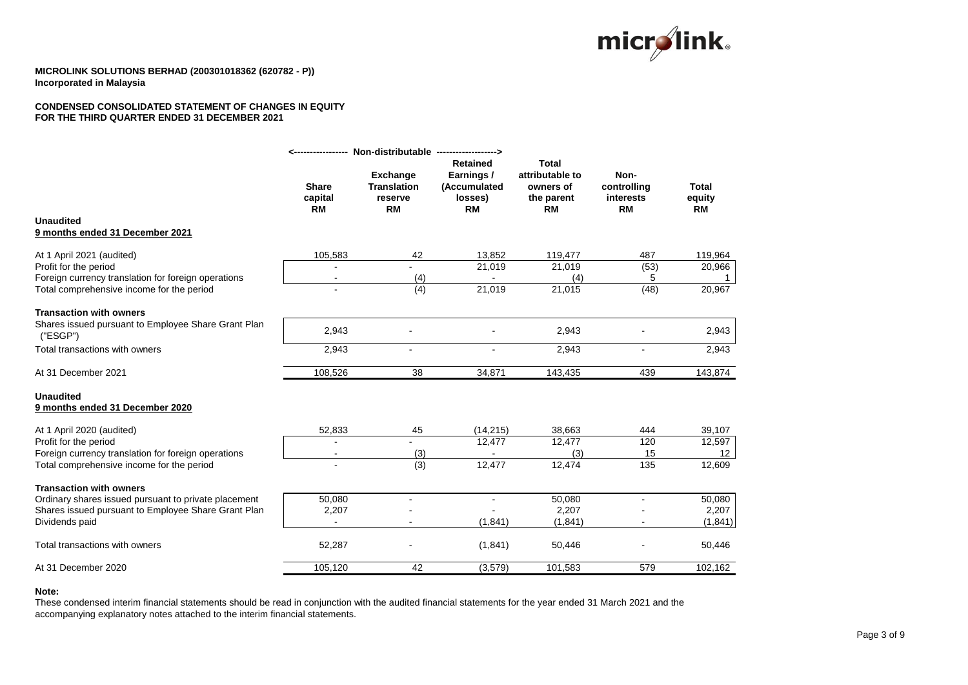

## **CONDENSED CONSOLIDATED STATEMENT OF CHANGES IN EQUITY FOR THE THIRD QUARTER ENDED 31 DECEMBER 2021**

|                                                                       |                                      | Non-distributable ------------------>                         |                                                                              |                                                                         |                                               |                                     |
|-----------------------------------------------------------------------|--------------------------------------|---------------------------------------------------------------|------------------------------------------------------------------------------|-------------------------------------------------------------------------|-----------------------------------------------|-------------------------------------|
| <b>Unaudited</b>                                                      | <b>Share</b><br>capital<br><b>RM</b> | <b>Exchange</b><br><b>Translation</b><br>reserve<br><b>RM</b> | <b>Retained</b><br>Earnings /<br><b>(Accumulated</b><br>losses)<br><b>RM</b> | <b>Total</b><br>attributable to<br>owners of<br>the parent<br><b>RM</b> | Non-<br>controlling<br>interests<br><b>RM</b> | <b>Total</b><br>equity<br><b>RM</b> |
| 9 months ended 31 December 2021                                       |                                      |                                                               |                                                                              |                                                                         |                                               |                                     |
| At 1 April 2021 (audited)                                             | 105,583                              | 42                                                            | 13,852                                                                       | 119,477                                                                 | 487                                           | 119,964                             |
| Profit for the period                                                 |                                      |                                                               | 21,019                                                                       | 21,019                                                                  | (53)                                          | 20,966                              |
| Foreign currency translation for foreign operations                   |                                      | (4)                                                           |                                                                              | (4)                                                                     | 5                                             |                                     |
| Total comprehensive income for the period                             |                                      | $\overline{(4)}$                                              | 21,019                                                                       | 21,015                                                                  | (48)                                          | 20,967                              |
| <b>Transaction with owners</b>                                        |                                      |                                                               |                                                                              |                                                                         |                                               |                                     |
| Shares issued pursuant to Employee Share Grant Plan<br>('ESGP")       | 2,943                                |                                                               |                                                                              | 2,943                                                                   |                                               | 2,943                               |
| Total transactions with owners                                        | 2,943                                |                                                               |                                                                              | 2,943                                                                   |                                               | 2,943                               |
| At 31 December 2021                                                   | 108,526                              | 38                                                            | 34,871                                                                       | 143,435                                                                 | 439                                           | 143,874                             |
| <b>Unaudited</b><br>9 months ended 31 December 2020                   |                                      |                                                               |                                                                              |                                                                         |                                               |                                     |
| At 1 April 2020 (audited)                                             | 52,833                               | 45                                                            | (14, 215)                                                                    | 38,663                                                                  | 444                                           | 39,107                              |
| Profit for the period                                                 |                                      |                                                               | 12,477                                                                       | 12.477                                                                  | 120                                           | 12,597                              |
| Foreign currency translation for foreign operations                   | $\blacksquare$                       | (3)                                                           |                                                                              | (3)                                                                     | 15                                            | 12                                  |
| Total comprehensive income for the period                             |                                      | (3)                                                           | 12,477                                                                       | 12,474                                                                  | 135                                           | 12,609                              |
| <b>Transaction with owners</b>                                        |                                      |                                                               |                                                                              |                                                                         |                                               |                                     |
| Ordinary shares issued pursuant to private placement                  | 50,080                               |                                                               | $\sim$                                                                       | 50,080                                                                  | $\blacksquare$                                | 50,080                              |
| Shares issued pursuant to Employee Share Grant Plan<br>Dividends paid | 2,207<br>$\sim$                      |                                                               | (1, 841)                                                                     | 2,207<br>(1, 841)                                                       |                                               | 2,207<br>(1, 841)                   |
|                                                                       |                                      |                                                               |                                                                              |                                                                         |                                               |                                     |
| Total transactions with owners                                        | 52,287                               |                                                               | (1,841)                                                                      | 50,446                                                                  |                                               | 50,446                              |
| At 31 December 2020                                                   | 105,120                              | 42                                                            | (3,579)                                                                      | 101,583                                                                 | 579                                           | 102,162                             |

## **Note:**

These condensed interim financial statements should be read in conjunction with the audited financial statements for the year ended 31 March 2021 and the accompanying explanatory notes attached to the interim financial statements.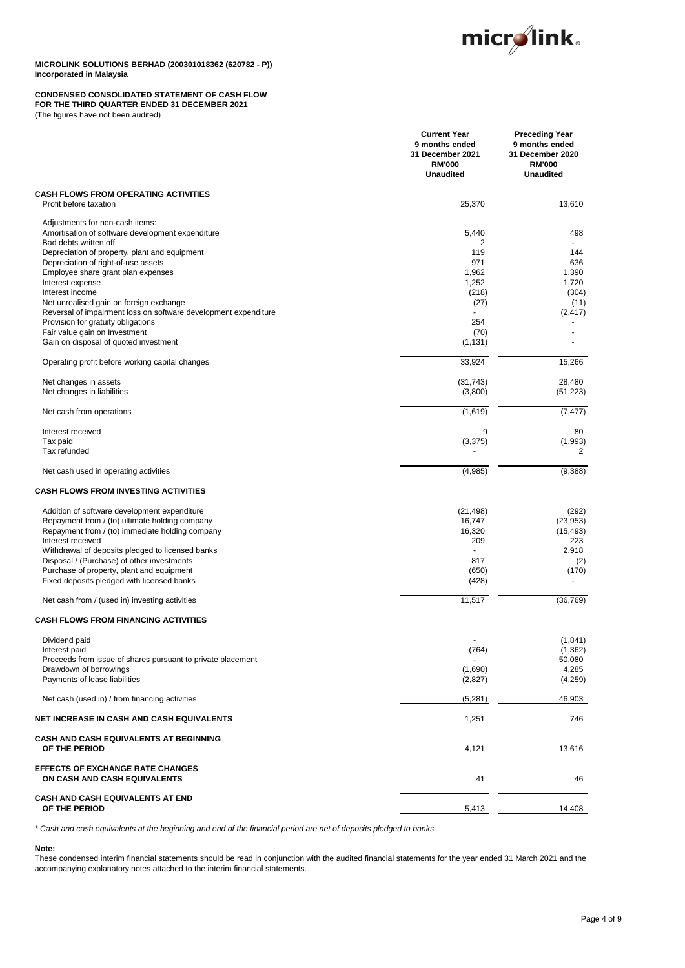

## **CONDENSED CONSOLIDATED STATEMENT OF CASH FLOW**

**FOR THE THIRD QUARTER ENDED 31 DECEMBER 2021**

(The figures have not been audited)

|                                                                                                | <b>Current Year</b><br>9 months ended<br>31 December 2021<br><b>RM'000</b><br><b>Unaudited</b> | <b>Preceding Year</b><br>9 months ended<br>31 December 2020<br><b>RM'000</b><br><b>Unaudited</b> |
|------------------------------------------------------------------------------------------------|------------------------------------------------------------------------------------------------|--------------------------------------------------------------------------------------------------|
| <b>CASH FLOWS FROM OPERATING ACTIVITIES</b><br>Profit before taxation                          | 25,370                                                                                         | 13,610                                                                                           |
| Adjustments for non-cash items:                                                                |                                                                                                |                                                                                                  |
| Amortisation of software development expenditure<br>Bad debts written off                      | 5,440<br>2                                                                                     | 498                                                                                              |
| Depreciation of property, plant and equipment                                                  | 119                                                                                            | 144                                                                                              |
| Depreciation of right-of-use assets                                                            | 971                                                                                            | 636                                                                                              |
| Employee share grant plan expenses                                                             | 1,962                                                                                          | 1,390                                                                                            |
| Interest expense                                                                               | 1,252                                                                                          | 1,720                                                                                            |
| Interest income                                                                                | (218)                                                                                          | (304)                                                                                            |
| Net unrealised gain on foreign exchange                                                        | (27)                                                                                           | (11)                                                                                             |
| Reversal of impairment loss on software development expenditure                                | 254                                                                                            | (2, 417)                                                                                         |
| Provision for gratuity obligations<br>Fair value gain on Investment                            | (70)                                                                                           |                                                                                                  |
| Gain on disposal of quoted investment                                                          | (1, 131)                                                                                       |                                                                                                  |
| Operating profit before working capital changes                                                | 33,924                                                                                         | 15,266                                                                                           |
| Net changes in assets                                                                          | (31, 743)                                                                                      | 28,480                                                                                           |
| Net changes in liabilities                                                                     | (3,800)                                                                                        | (51, 223)                                                                                        |
| Net cash from operations                                                                       | (1,619)                                                                                        | (7, 477)                                                                                         |
| Interest received                                                                              | 9                                                                                              | 80                                                                                               |
| Tax paid                                                                                       | (3, 375)                                                                                       | (1,993)                                                                                          |
| Tax refunded                                                                                   |                                                                                                | 2                                                                                                |
| Net cash used in operating activities                                                          | (4,985)                                                                                        | (9,388)                                                                                          |
| <b>CASH FLOWS FROM INVESTING ACTIVITIES</b>                                                    |                                                                                                |                                                                                                  |
| Addition of software development expenditure                                                   | (21, 498)                                                                                      | (292)                                                                                            |
| Repayment from / (to) ultimate holding company                                                 | 16,747                                                                                         | (23, 953)                                                                                        |
| Repayment from / (to) immediate holding company                                                | 16,320                                                                                         | (15, 493)                                                                                        |
| Interest received                                                                              | 209<br>ä,                                                                                      | 223                                                                                              |
| Withdrawal of deposits pledged to licensed banks<br>Disposal / (Purchase) of other investments | 817                                                                                            | 2,918<br>(2)                                                                                     |
| Purchase of property, plant and equipment                                                      | (650)                                                                                          | (170)                                                                                            |
| Fixed deposits pledged with licensed banks                                                     | (428)                                                                                          |                                                                                                  |
|                                                                                                |                                                                                                |                                                                                                  |
| Net cash from / (used in) investing activities                                                 | 11,517                                                                                         | (36, 769)                                                                                        |
| <b>CASH FLOWS FROM FINANCING ACTIVITIES</b>                                                    |                                                                                                |                                                                                                  |
| Dividend paid                                                                                  |                                                                                                | (1,841)                                                                                          |
| Interest paid                                                                                  | (764)                                                                                          | (1,362)                                                                                          |
| Proceeds from issue of shares pursuant to private placement                                    |                                                                                                | 50,080                                                                                           |
| Drawdown of borrowings                                                                         | (1,690)                                                                                        | 4,285                                                                                            |
| Payments of lease liabilities                                                                  | (2,827)                                                                                        | (4,259)                                                                                          |
| Net cash (used in) / from financing activities                                                 | (5, 281)                                                                                       | 46,903                                                                                           |
| NET INCREASE IN CASH AND CASH EQUIVALENTS                                                      | 1,251                                                                                          | 746                                                                                              |
| <b>CASH AND CASH EQUIVALENTS AT BEGINNING</b>                                                  |                                                                                                |                                                                                                  |
| OF THE PERIOD                                                                                  | 4,121                                                                                          | 13,616                                                                                           |
| <b>EFFECTS OF EXCHANGE RATE CHANGES</b><br>ON CASH AND CASH EQUIVALENTS                        | 41                                                                                             | 46                                                                                               |
| <b>CASH AND CASH EQUIVALENTS AT END</b>                                                        |                                                                                                |                                                                                                  |
| OF THE PERIOD                                                                                  | 5,413                                                                                          | 14,408                                                                                           |

*\* Cash and cash equivalents at the beginning and end of the financial period are net of deposits pledged to banks.*

## **Note:**

These condensed interim financial statements should be read in conjunction with the audited financial statements for the year ended 31 March 2021 and the accompanying explanatory notes attached to the interim financial statements.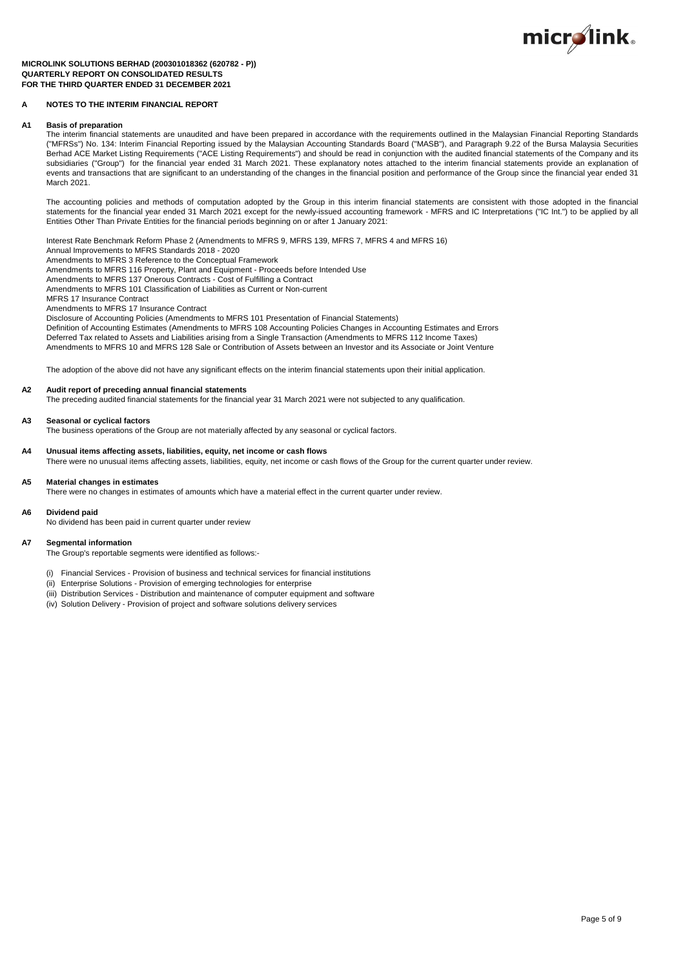

#### **MICROLINK SOLUTIONS BERHAD (200301018362 (620782 - P)) QUARTERLY REPORT ON CONSOLIDATED RESULTS FOR THE THIRD QUARTER ENDED 31 DECEMBER 2021**

### **A NOTES TO THE INTERIM FINANCIAL REPORT**

#### **A1 Basis of preparation**

The interim financial statements are unaudited and have been prepared in accordance with the requirements outlined in the Malaysian Financial Reporting Standards ("MFRSs") No. 134: Interim Financial Reporting issued by the Malaysian Accounting Standards Board ("MASB"), and Paragraph 9.22 of the Bursa Malaysia Securities Berhad ACE Market Listing Requirements ("ACE Listing Requirements") and should be read in conjunction with the audited financial statements of the Company and its subsidiaries ("Group") for the financial year ended 31 March 2021. These explanatory notes attached to the interim financial statements provide an explanation of events and transactions that are significant to an understanding of the changes in the financial position and performance of the Group since the financial year ended 31 March 2021.

The accounting policies and methods of computation adopted by the Group in this interim financial statements are consistent with those adopted in the financial statements for the financial year ended 31 March 2021 except for the newly-issued accounting framework - MFRS and IC Interpretations ("IC Int.") to be applied by all Entities Other Than Private Entities for the financial periods beginning on or after 1 January 2021:

Interest Rate Benchmark Reform Phase 2 (Amendments to MFRS 9, MFRS 139, MFRS 7, MFRS 4 and MFRS 16)

Annual Improvements to MFRS Standards 2018 - 2020

Amendments to MFRS 3 Reference to the Conceptual Framework

Amendments to MFRS 116 Property, Plant and Equipment - Proceeds before Intended Use

Amendments to MFRS 137 Onerous Contracts - Cost of Fulfilling a Contract Amendments to MFRS 101 Classification of Liabilities as Current or Non-current

MFRS 17 Insurance Contract

Amendments to MFRS 17 Insurance Contract

Disclosure of Accounting Policies (Amendments to MFRS 101 Presentation of Financial Statements) Definition of Accounting Estimates (Amendments to MFRS 108 Accounting Policies Changes in Accounting Estimates and Errors Deferred Tax related to Assets and Liabilities arising from a Single Transaction (Amendments to MFRS 112 Income Taxes)

Amendments to MFRS 10 and MFRS 128 Sale or Contribution of Assets between an Investor and its Associate or Joint Venture

The adoption of the above did not have any significant effects on the interim financial statements upon their initial application.

## **A2 Audit report of preceding annual financial statements**

The preceding audited financial statements for the financial year 31 March 2021 were not subjected to any qualification.

#### **A3 Seasonal or cyclical factors**

The business operations of the Group are not materially affected by any seasonal or cyclical factors.

## **A4 Unusual items affecting assets, liabilities, equity, net income or cash flows**

There were no unusual items affecting assets, liabilities, equity, net income or cash flows of the Group for the current quarter under review.

#### **A5 Material changes in estimates**

There were no changes in estimates of amounts which have a material effect in the current quarter under review.

#### **A6 Dividend paid**

No dividend has been paid in current quarter under review

### **A7 Segmental information**

The Group's reportable segments were identified as follows:-

- (i) Financial Services Provision of business and technical services for financial institutions
- (ii) Enterprise Solutions Provision of emerging technologies for enterprise
- (iii) Distribution Services Distribution and maintenance of computer equipment and software
- (iv) Solution Delivery Provision of project and software solutions delivery services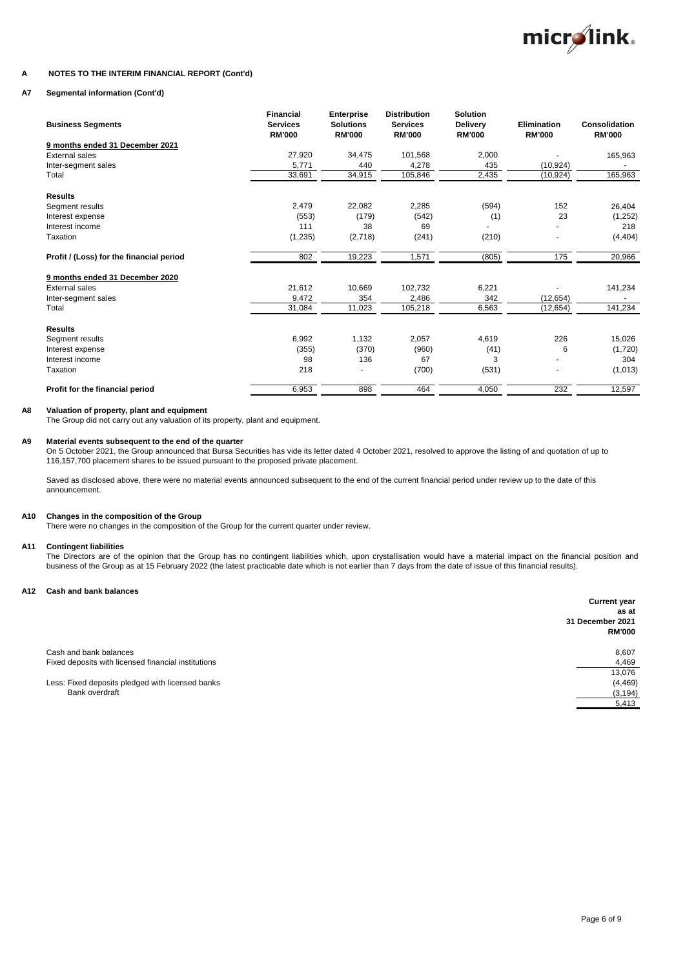

## **A NOTES TO THE INTERIM FINANCIAL REPORT (Cont'd)**

## **A7 Segmental information (Cont'd)**

| <b>Business Segments</b>                 | <b>Financial</b><br><b>Services</b><br><b>RM'000</b> | <b>Enterprise</b><br><b>Solutions</b><br><b>RM'000</b> | <b>Distribution</b><br><b>Services</b><br><b>RM'000</b> | <b>Solution</b><br>Delivery<br><b>RM'000</b> | Elimination<br><b>RM'000</b> | Consolidation<br><b>RM'000</b> |
|------------------------------------------|------------------------------------------------------|--------------------------------------------------------|---------------------------------------------------------|----------------------------------------------|------------------------------|--------------------------------|
| 9 months ended 31 December 2021          |                                                      |                                                        |                                                         |                                              |                              |                                |
| <b>External sales</b>                    | 27.920                                               | 34,475                                                 | 101,568                                                 | 2,000                                        |                              | 165,963                        |
| Inter-segment sales                      | 5,771                                                | 440                                                    | 4,278                                                   | 435                                          | (10, 924)                    |                                |
| Total                                    | 33,691                                               | 34,915                                                 | 105,846                                                 | 2,435                                        | (10, 924)                    | 165,963                        |
| <b>Results</b>                           |                                                      |                                                        |                                                         |                                              |                              |                                |
| Segment results                          | 2,479                                                | 22,082                                                 | 2,285                                                   | (594)                                        | 152                          | 26,404                         |
| Interest expense                         | (553)                                                | (179)                                                  | (542)                                                   | (1)                                          | 23                           | (1,252)                        |
| Interest income                          | 111                                                  | 38                                                     | 69                                                      |                                              |                              | 218                            |
| Taxation                                 | (1,235)                                              | (2,718)                                                | (241)                                                   | (210)                                        |                              | (4, 404)                       |
| Profit / (Loss) for the financial period | 802                                                  | 19,223                                                 | 1,571                                                   | (805)                                        | 175                          | 20,966                         |
| 9 months ended 31 December 2020          |                                                      |                                                        |                                                         |                                              |                              |                                |
| <b>External sales</b>                    | 21,612                                               | 10,669                                                 | 102,732                                                 | 6,221                                        |                              | 141,234                        |
| Inter-segment sales                      | 9,472                                                | 354                                                    | 2,486                                                   | 342                                          | (12, 654)                    |                                |
| Total                                    | 31,084                                               | 11,023                                                 | 105,218                                                 | 6,563                                        | (12, 654)                    | 141,234                        |
| <b>Results</b>                           |                                                      |                                                        |                                                         |                                              |                              |                                |
| Segment results                          | 6,992                                                | 1,132                                                  | 2,057                                                   | 4,619                                        | 226                          | 15,026                         |
| Interest expense                         | (355)                                                | (370)                                                  | (960)                                                   | (41)                                         | 6                            | (1,720)                        |
| Interest income                          | 98                                                   | 136                                                    | 67                                                      | 3                                            |                              | 304                            |
| Taxation                                 | 218                                                  |                                                        | (700)                                                   | (531)                                        |                              | (1,013)                        |
| Profit for the financial period          | 6,953                                                | 898                                                    | 464                                                     | 4,050                                        | 232                          | 12,597                         |

## **A8 Valuation of property, plant and equipment**

The Group did not carry out any valuation of its property, plant and equipment.

### **A9 Material events subsequent to the end of the quarter**

On 5 October 2021, the Group announced that Bursa Securities has vide its letter dated 4 October 2021, resolved to approve the listing of and quotation of up to 116,157,700 placement shares to be issued pursuant to the proposed private placement.

Saved as disclosed above, there were no material events announced subsequent to the end of the current financial period under review up to the date of this announcement.

### **A10 Changes in the composition of the Group**

There were no changes in the composition of the Group for the current quarter under review.

## **A11 Contingent liabilities**

The Directors are of the opinion that the Group has no contingent liabilities which, upon crystallisation would have a material impact on the financial position and business of the Group as at 15 February 2022 (the latest practicable date which is not earlier than 7 days from the date of issue of this financial results).

## **A12 Cash and bank balances**

|                                                     | <b>Current year</b> |
|-----------------------------------------------------|---------------------|
|                                                     | as at               |
|                                                     | 31 December 2021    |
|                                                     | <b>RM'000</b>       |
| Cash and bank balances                              | 8,607               |
| Fixed deposits with licensed financial institutions | 4,469               |
|                                                     | 13,076              |
| Less: Fixed deposits pledged with licensed banks    | (4, 469)            |
| Bank overdraft                                      | (3, 194)            |
|                                                     | 5,413               |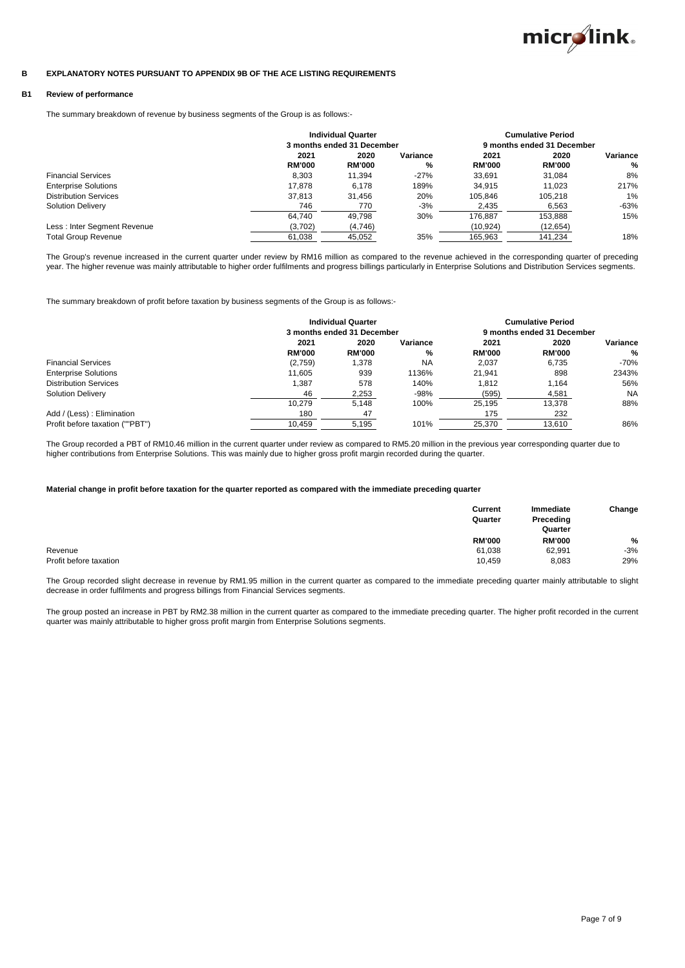

#### **B EXPLANATORY NOTES PURSUANT TO APPENDIX 9B OF THE ACE LISTING REQUIREMENTS**

## **B1 Review of performance**

The summary breakdown of revenue by business segments of the Group is as follows:-

|                              |               | <b>Individual Quarter</b>  |          |                            | <b>Cumulative Period</b> |          |
|------------------------------|---------------|----------------------------|----------|----------------------------|--------------------------|----------|
|                              |               | 3 months ended 31 December |          | 9 months ended 31 December |                          |          |
|                              | 2021          | 2020                       | Variance | 2021                       | 2020                     | Variance |
|                              | <b>RM'000</b> | <b>RM'000</b>              | %        | <b>RM'000</b>              | <b>RM'000</b>            | %        |
| <b>Financial Services</b>    | 8.303         | 11.394                     | $-27%$   | 33.691                     | 31.084                   | 8%       |
| <b>Enterprise Solutions</b>  | 17.878        | 6.178                      | 189%     | 34.915                     | 11.023                   | 217%     |
| <b>Distribution Services</b> | 37.813        | 31,456                     | 20%      | 105.846                    | 105.218                  | 1%       |
| <b>Solution Delivery</b>     | 746           | 770                        | $-3%$    | 2.435                      | 6,563                    | $-63%$   |
|                              | 64.740        | 49.798                     | 30%      | 176.887                    | 153.888                  | 15%      |
| Less: Inter Segment Revenue  | (3,702)       | (4,746)                    |          | (10, 924)                  | (12, 654)                |          |
| <b>Total Group Revenue</b>   | 61,038        | 45,052                     | 35%      | 165.963                    | 141.234                  | 18%      |

The Group's revenue increased in the current quarter under review by RM16 million as compared to the revenue achieved in the corresponding quarter of preceding year. The higher revenue was mainly attributable to higher order fulfilments and progress billings particularly in Enterprise Solutions and Distribution Services segments.

The summary breakdown of profit before taxation by business segments of the Group is as follows:-

|                                 | <b>Individual Quarter</b> |                            |           |                            | <b>Cumulative Period</b> |           |
|---------------------------------|---------------------------|----------------------------|-----------|----------------------------|--------------------------|-----------|
|                                 |                           | 3 months ended 31 December |           | 9 months ended 31 December |                          |           |
|                                 | 2021                      | 2020                       | Variance  | 2021                       | 2020                     | Variance  |
|                                 | <b>RM'000</b>             | <b>RM'000</b>              | %         | <b>RM'000</b>              | <b>RM'000</b>            | %         |
| <b>Financial Services</b>       | (2,759)                   | 1.378                      | <b>NA</b> | 2.037                      | 6.735                    | $-70%$    |
| <b>Enterprise Solutions</b>     | 11.605                    | 939                        | 1136%     | 21.941                     | 898                      | 2343%     |
| <b>Distribution Services</b>    | 1,387                     | 578                        | 140%      | 1.812                      | 1.164                    | 56%       |
| <b>Solution Delivery</b>        | 46                        | 2,253                      | $-98%$    | (595)                      | 4,581                    | <b>NA</b> |
|                                 | 10.279                    | 5.148                      | 100%      | 25.195                     | 13.378                   | 88%       |
| Add / (Less) : Elimination      | 180                       | 47                         |           | 175                        | 232                      |           |
| Profit before taxation (""PBT") | 10.459                    | 5.195                      | 101%      | 25,370                     | 13.610                   | 86%       |

The Group recorded a PBT of RM10.46 million in the current quarter under review as compared to RM5.20 million in the previous year corresponding quarter due to higher contributions from Enterprise Solutions. This was mainly due to higher gross profit margin recorded during the quarter.

### **Material change in profit before taxation for the quarter reported as compared with the immediate preceding quarter**

|                        | Current<br>Quarter | Immediate<br>Preceding | Change        |
|------------------------|--------------------|------------------------|---------------|
|                        |                    | Quarter                |               |
|                        | <b>RM'000</b>      | <b>RM'000</b>          | $\frac{9}{6}$ |
| Revenue                | 61,038             | 62,991                 | $-3%$         |
| Profit before taxation | 10,459             | 8,083                  | 29%           |

The Group recorded slight decrease in revenue by RM1.95 million in the current quarter as compared to the immediate preceding quarter mainly attributable to slight decrease in order fulfilments and progress billings from Financial Services segments.

The group posted an increase in PBT by RM2.38 million in the current quarter as compared to the immediate preceding quarter. The higher profit recorded in the current quarter was mainly attributable to higher gross profit margin from Enterprise Solutions segments.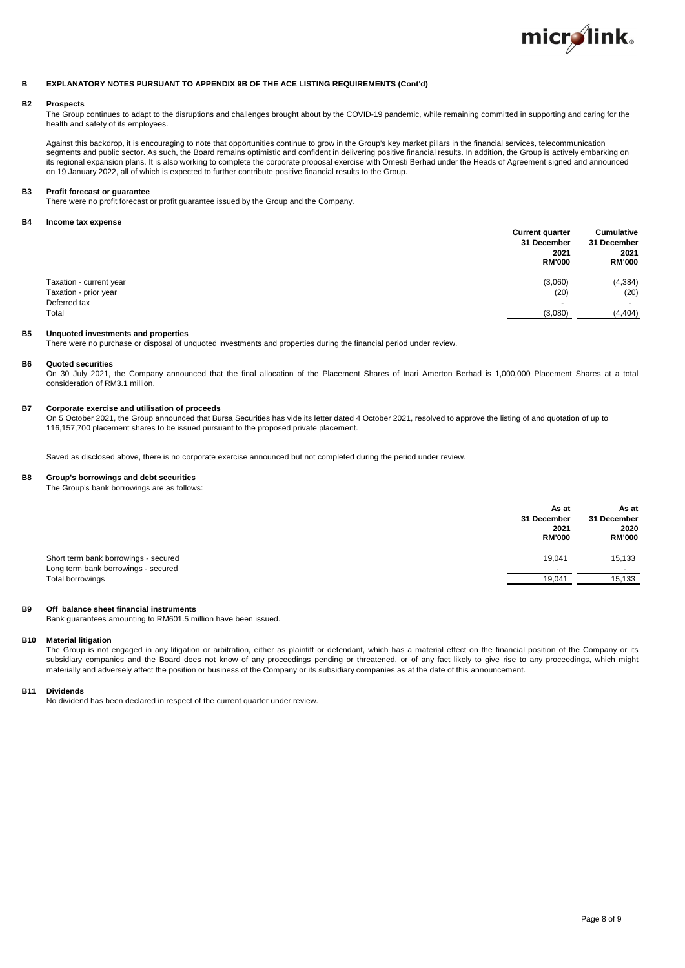

#### **B EXPLANATORY NOTES PURSUANT TO APPENDIX 9B OF THE ACE LISTING REQUIREMENTS (Cont'd)**

## **B2 Prospects**

The Group continues to adapt to the disruptions and challenges brought about by the COVID-19 pandemic, while remaining committed in supporting and caring for the health and safety of its employees.

Against this backdrop, it is encouraging to note that opportunities continue to grow in the Group's key market pillars in the financial services, telecommunication segments and public sector. As such, the Board remains optimistic and confident in delivering positive financial results. In addition, the Group is actively embarking on its regional expansion plans. It is also working to complete the corporate proposal exercise with Omesti Berhad under the Heads of Agreement signed and announced on 19 January 2022, all of which is expected to further contribute positive financial results to the Group.

#### **B3 Profit forecast or guarantee**

There were no profit forecast or profit guarantee issued by the Group and the Company.

### **B4 Income tax expense**

|                         | <b>Current quarter</b><br>31 December<br>2021<br><b>RM'000</b> | Cumulative<br>31 December<br>2021<br><b>RM'000</b> |
|-------------------------|----------------------------------------------------------------|----------------------------------------------------|
| Taxation - current year | (3,060)                                                        | (4, 384)                                           |
| Taxation - prior year   | (20)                                                           | (20)                                               |
| Deferred tax            |                                                                | $\sim$                                             |
| Total                   | (3,080)                                                        | (4, 404)                                           |
|                         |                                                                |                                                    |

## **B5 Unquoted investments and properties**

There were no purchase or disposal of unquoted investments and properties during the financial period under review.

#### **B6 Quoted securities**

On 30 July 2021, the Company announced that the final allocation of the Placement Shares of Inari Amerton Berhad is 1,000,000 Placement Shares at a total consideration of RM3.1 million.

### **B7 Corporate exercise and utilisation of proceeds**

On 5 October 2021, the Group announced that Bursa Securities has vide its letter dated 4 October 2021, resolved to approve the listing of and quotation of up to 116,157,700 placement shares to be issued pursuant to the proposed private placement.

Saved as disclosed above, there is no corporate exercise announced but not completed during the period under review.

## **B8 Group's borrowings and debt securities**

The Group's bank borrowings are as follows:

|                                                                             | As at<br>31 December<br>2021<br><b>RM'000</b> | As at<br>31 December<br>2020<br><b>RM'000</b> |
|-----------------------------------------------------------------------------|-----------------------------------------------|-----------------------------------------------|
| Short term bank borrowings - secured<br>Long term bank borrowings - secured | 19.041                                        | 15,133                                        |
| Total borrowings                                                            | 19,041                                        | 15,133                                        |

### **B9 Off balance sheet financial instruments**

Bank guarantees amounting to RM601.5 million have been issued.

#### **B10 Material litigation**

The Group is not engaged in any litigation or arbitration, either as plaintiff or defendant, which has a material effect on the financial position of the Company or its subsidiary companies and the Board does not know of any proceedings pending or threatened, or of any fact likely to give rise to any proceedings, which might materially and adversely affect the position or business of the Company or its subsidiary companies as at the date of this announcement.

#### **B11 Dividends**

No dividend has been declared in respect of the current quarter under review.